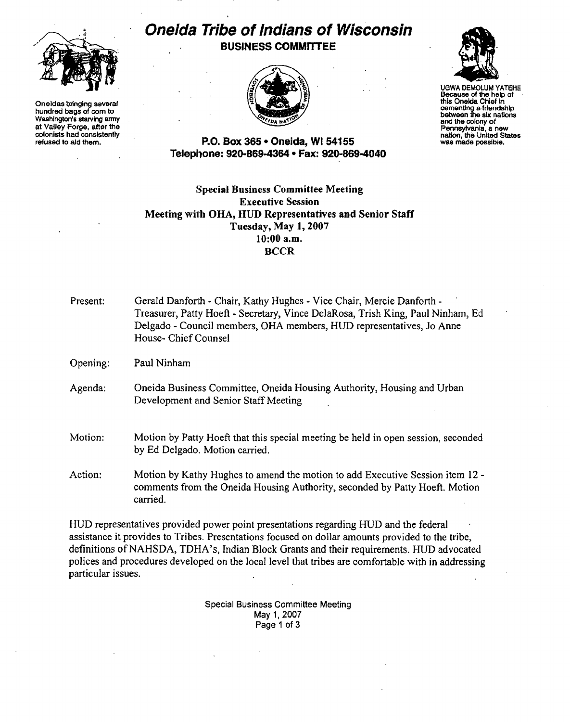

Oneidas bringing several hundred bags of com to Washington's starving army at Valley Forge, after the colonists had consistently refused to aid them.

## Oneida Tribe of Indians of Wisconsin BUSINESS COMMITTEE





UGWA DEMOLUM YATEHE Because of the help of this Oneida Chief in cementing afrlendshlp between 1he six nallons and the colony of Pennsylvania, a new nation, the United States was made possible.

## P.O. Box 365· Oneida, WI 54155 Telephone: 920-869-4364 • Fax: 920~869-4040

## Special Business Committee Meeting Executive Session Meeting with OHA, HUD Representatives and Senior Staff Tuesday, May 1, 2007 10:00 a.m, **BCCR**

| Present: | Gerald Danforth - Chair, Kathy Hughes - Vice Chair, Mercie Danforth -<br>Treasurer, Patty Hoeft - Secretary, Vince DelaRosa, Trish King, Paul Ninham, Ed<br>Delgado - Council members, OHA members, HUD representatives, Jo Anne<br>House- Chief Counsel |
|----------|----------------------------------------------------------------------------------------------------------------------------------------------------------------------------------------------------------------------------------------------------------|
| Opening: | Paul Ninham                                                                                                                                                                                                                                              |
| Agenda:  | Oneida Business Committee, Oneida Housing Authority, Housing and Urban<br>Development and Senior Staff Meeting                                                                                                                                           |
| Motion:  | Motion by Patty Hoeft that this special meeting be held in open session, seconded<br>by Ed Delgado. Motion carried.                                                                                                                                      |
| Action:  | Motion by Kathy Hughes to amend the motion to add Executive Session item 12 -<br>comments from the Oneida Housing Authority, seconded by Patty Hoeft. Motion<br>carried.                                                                                 |

HUD representatives provided power point presentations regarding HUD and the federal assistance it provides to Tribes. Presentations focused on dollar amounts provided to the tribe, definitions of NAHSDA, TDHA's, Indian Block Grants and their requirements. HUD advocated polices and procedures developed on the local level that tribes are comfortable with in addressing particular issues.

> Special Business Committee Meeting May 1, 2007 Page 1 of 3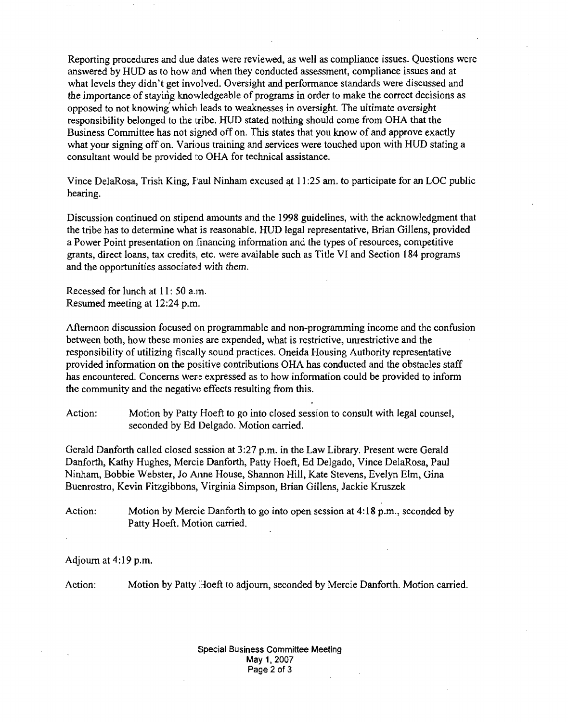Reporting procedures and due dates were reviewed, as well as compliance issues. Questions were answered by HUD as to how and when they conducted assessment, compliance issues and at what levels they didn't get involved. Oversight and performance standards were discussed and the importance of staying knowledgeable of programs in order to make the correct decisions as opposed to not knowing' which leads to weaknesses in oversight. The ultimate oversight responsibility belonged to the tribe, HUD stated nothing should come from OHA that the Business Committee has not signed off on. This states that you know of and approve exactly what your signing off on. Various training and services were touched upon with HUD stating a consultant would be provided to OHA for technical assistance.

Vince DelaRosa, Trish King, Paul Ninham excused at 11:25 am. to participate for an LOC public hearing.

Discussion continued on stipend amounts and the 1998 guidelines, with the acknowledgment that the tribe has to determine what is reasonable. HUD legal representative, Brian Gillens, provided a Power Point presentation on financing information and the types of resources, competitive grants, direct loans, tax credits, etc. were available such as Title VI and Section 184 programs and the opportunities associated with them.

Recessed for lunch at 11: 50 a.m. Resumed meeting at 12:24 p.m.

Afternoon discussion focused on programmable and non-programming income and the confusion between both, how these monies are expended, what is restrictive, unrestrictive and the responsibility of utilizing fiscally sound practices. Oneida Housing Authority representative provided information on the positive contributions OHA has conducted and the obstacles staff has encountered. Concerns were expressed as to how information could be provided to inform the community and the negative effects resulting from this.

Action: Motion by Patty Hoeft to go into closed session to consult with legal counsel, seconded by Ed Delgado. Motion carried.

Gerald Danforth called closed session at 3:27 p.m. in the Law Library. Present were Gerald Danforth, Kathy Hughes, Mercie Danforth, Patty Hoeft, Ed Delgado, Vince DelaRosa, Paul Ninham, Bobbie Webster, Jo Anne House, Shannon Hill, Kate Stevens, Evelyn Elm, Gina Buenrostro, Kevin Fitzgibbons, Virginia Simpson, Brian Gillens, Jackie Kruszek

Action: Motion by Mercie Danforth to go into open session at 4:18 p.m., seconded by Patty Hoeft. Motion carried.

Adjourn at 4:19 p.m.

Action: Motion by Patty Hoeft to adjourn, seconded by Mercie Danforth. Motion carried.

Special Business Committee Meeting May 1, 2007 Page 2 of 3